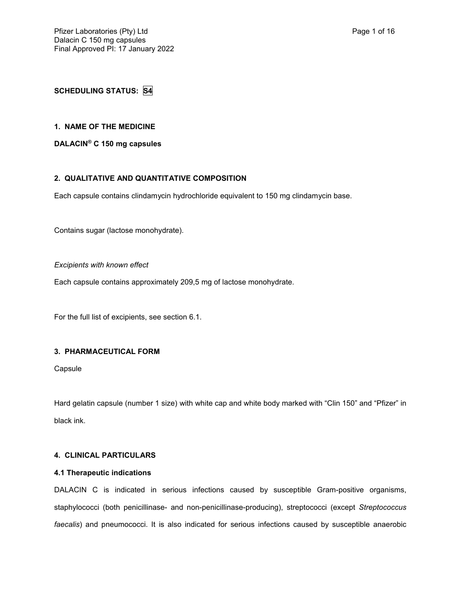# **SCHEDULING STATUS: S4**

### **1. NAME OF THE MEDICINE**

**DALACIN® C 150 mg capsules**

## **2. QUALITATIVE AND QUANTITATIVE COMPOSITION**

Each capsule contains clindamycin hydrochloride equivalent to 150 mg clindamycin base.

Contains sugar (lactose monohydrate).

*Excipients with known effect*

Each capsule contains approximately 209,5 mg of lactose monohydrate.

For the full list of excipients, see section 6.1.

# **3. PHARMACEUTICAL FORM**

Capsule

Hard gelatin capsule (number 1 size) with white cap and white body marked with "Clin 150" and "Pfizer" in black ink.

## **4. CLINICAL PARTICULARS**

#### **4.1 Therapeutic indications**

DALACIN C is indicated in serious infections caused by susceptible Gram-positive organisms, staphylococci (both penicillinase- and non-penicillinase-producing), streptococci (except *Streptococcus faecalis*) and pneumococci. It is also indicated for serious infections caused by susceptible anaerobic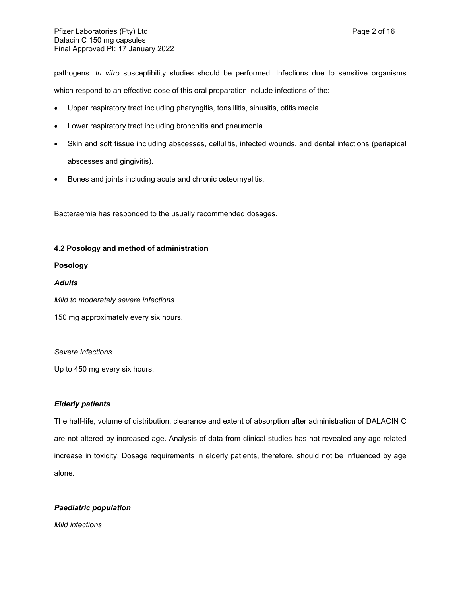pathogens. *In vitro* susceptibility studies should be performed. Infections due to sensitive organisms

which respond to an effective dose of this oral preparation include infections of the:

- Upper respiratory tract including pharyngitis, tonsillitis, sinusitis, otitis media.
- Lower respiratory tract including bronchitis and pneumonia.
- Skin and soft tissue including abscesses, cellulitis, infected wounds, and dental infections (periapical abscesses and gingivitis).
- Bones and joints including acute and chronic osteomyelitis.

Bacteraemia has responded to the usually recommended dosages.

# **4.2 Posology and method of administration**

# **Posology**

# *Adults*

*Mild to moderately severe infections*

150 mg approximately every six hours.

# *Severe infections*

Up to 450 mg every six hours.

# *Elderly patients*

The half-life, volume of distribution, clearance and extent of absorption after administration of DALACIN C are not altered by increased age. Analysis of data from clinical studies has not revealed any age-related increase in toxicity. Dosage requirements in elderly patients, therefore, should not be influenced by age alone.

# *Paediatric population*

*Mild infections*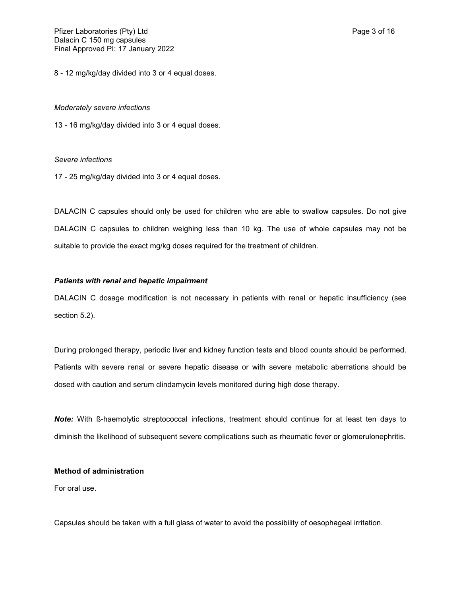8 - 12 mg/kg/day divided into 3 or 4 equal doses.

#### *Moderately severe infections*

13 - 16 mg/kg/day divided into 3 or 4 equal doses.

#### *Severe infections*

17 - 25 mg/kg/day divided into 3 or 4 equal doses.

DALACIN C capsules should only be used for children who are able to swallow capsules. Do not give DALACIN C capsules to children weighing less than 10 kg. The use of whole capsules may not be suitable to provide the exact mg/kg doses required for the treatment of children.

### *Patients with renal and hepatic impairment*

DALACIN C dosage modification is not necessary in patients with renal or hepatic insufficiency (see section 5.2).

During prolonged therapy, periodic liver and kidney function tests and blood counts should be performed. Patients with severe renal or severe hepatic disease or with severe metabolic aberrations should be dosed with caution and serum clindamycin levels monitored during high dose therapy.

*Note:* With ß-haemolytic streptococcal infections, treatment should continue for at least ten days to diminish the likelihood of subsequent severe complications such as rheumatic fever or glomerulonephritis.

### **Method of administration**

For oral use.

Capsules should be taken with a full glass of water to avoid the possibility of oesophageal irritation.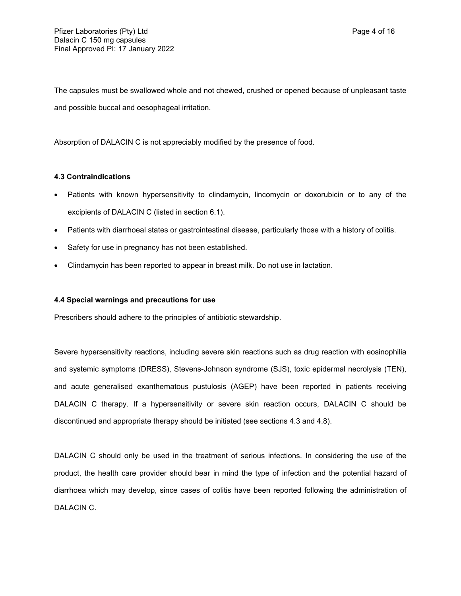The capsules must be swallowed whole and not chewed, crushed or opened because of unpleasant taste and possible buccal and oesophageal irritation.

Absorption of DALACIN C is not appreciably modified by the presence of food.

### **4.3 Contraindications**

- Patients with known hypersensitivity to clindamycin, lincomycin or doxorubicin or to any of the excipients of DALACIN C (listed in section 6.1).
- Patients with diarrhoeal states or gastrointestinal disease, particularly those with a history of colitis.
- Safety for use in pregnancy has not been established.
- Clindamycin has been reported to appear in breast milk. Do not use in lactation.

#### **4.4 Special warnings and precautions for use**

Prescribers should adhere to the principles of antibiotic stewardship.

Severe hypersensitivity reactions, including severe skin reactions such as drug reaction with eosinophilia and systemic symptoms (DRESS), Stevens-Johnson syndrome (SJS), toxic epidermal necrolysis (TEN), and acute generalised exanthematous pustulosis (AGEP) have been reported in patients receiving DALACIN C therapy. If a hypersensitivity or severe skin reaction occurs, DALACIN C should be discontinued and appropriate therapy should be initiated (see sections 4.3 and 4.8).

DALACIN C should only be used in the treatment of serious infections. In considering the use of the product, the health care provider should bear in mind the type of infection and the potential hazard of diarrhoea which may develop, since cases of colitis have been reported following the administration of DALACIN C.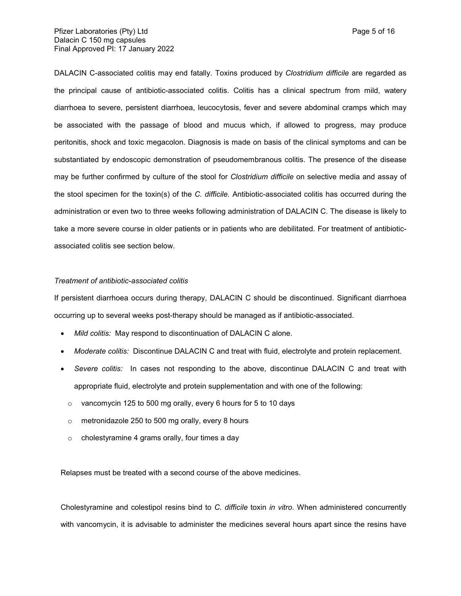DALACIN C-associated colitis may end fatally. Toxins produced by *Clostridium difficile* are regarded as the principal cause of antibiotic-associated colitis. Colitis has a clinical spectrum from mild, watery diarrhoea to severe, persistent diarrhoea, leucocytosis, fever and severe abdominal cramps which may be associated with the passage of blood and mucus which, if allowed to progress, may produce peritonitis, shock and toxic megacolon. Diagnosis is made on basis of the clinical symptoms and can be substantiated by endoscopic demonstration of pseudomembranous colitis. The presence of the disease may be further confirmed by culture of the stool for *Clostridium difficile* on selective media and assay of the stool specimen for the toxin(s) of the *C. difficile.* Antibiotic-associated colitis has occurred during the administration or even two to three weeks following administration of DALACIN C. The disease is likely to take a more severe course in older patients or in patients who are debilitated. For treatment of antibioticassociated colitis see section below.

### *Treatment of antibiotic-associated colitis*

If persistent diarrhoea occurs during therapy, DALACIN C should be discontinued. Significant diarrhoea occurring up to several weeks post-therapy should be managed as if antibiotic-associated.

- *Mild colitis:* May respond to discontinuation of DALACIN C alone.
- *Moderate colitis:* Discontinue DALACIN C and treat with fluid, electrolyte and protein replacement.
- *Severe colitis:* In cases not responding to the above, discontinue DALACIN C and treat with appropriate fluid, electrolyte and protein supplementation and with one of the following:
	- $\circ$  vancomycin 125 to 500 mg orally, every 6 hours for 5 to 10 days
	- $\circ$  metronidazole 250 to 500 mg orally, every 8 hours
	- o cholestyramine 4 grams orally, four times a day

Relapses must be treated with a second course of the above medicines.

Cholestyramine and colestipol resins bind to *C. difficile* toxin *in vitro*. When administered concurrently with vancomycin, it is advisable to administer the medicines several hours apart since the resins have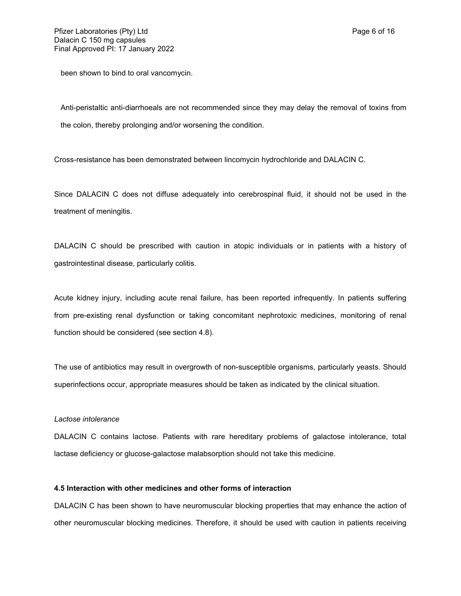been shown to bind to oral vancomycin.

Anti-peristaltic anti-diarrhoeals are not recommended since they may delay the removal of toxins from the colon, thereby prolonging and/or worsening the condition.

Cross-resistance has been demonstrated between lincomycin hydrochloride and DALACIN C.

Since DALACIN C does not diffuse adequately into cerebrospinal fluid, it should not be used in the treatment of meningitis.

DALACIN C should be prescribed with caution in atopic individuals or in patients with a history of gastrointestinal disease, particularly colitis.

Acute kidney injury, including acute renal failure, has been reported infrequently. In patients suffering from pre-existing renal dysfunction or taking concomitant nephrotoxic medicines, monitoring of renal function should be considered (see section 4.8).

The use of antibiotics may result in overgrowth of non-susceptible organisms, particularly yeasts. Should superinfections occur, appropriate measures should be taken as indicated by the clinical situation.

### *Lactose intolerance*

DALACIN C contains lactose. Patients with rare hereditary problems of galactose intolerance, total lactase deficiency or glucose-galactose malabsorption should not take this medicine.

### **4.5 Interaction with other medicines and other forms of interaction**

DALACIN C has been shown to have neuromuscular blocking properties that may enhance the action of other neuromuscular blocking medicines. Therefore, it should be used with caution in patients receiving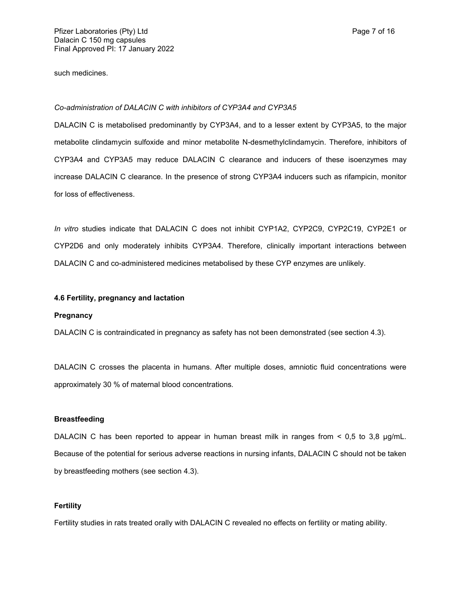such medicines.

#### *Co-administration of DALACIN C with inhibitors of CYP3A4 and CYP3A5*

DALACIN C is metabolised predominantly by CYP3A4, and to a lesser extent by CYP3A5, to the major metabolite clindamycin sulfoxide and minor metabolite N-desmethylclindamycin. Therefore, inhibitors of CYP3A4 and CYP3A5 may reduce DALACIN C clearance and inducers of these isoenzymes may increase DALACIN C clearance. In the presence of strong CYP3A4 inducers such as rifampicin, monitor for loss of effectiveness.

*In vitro* studies indicate that DALACIN C does not inhibit CYP1A2, CYP2C9, CYP2C19, CYP2E1 or CYP2D6 and only moderately inhibits CYP3A4. Therefore, clinically important interactions between DALACIN C and co-administered medicines metabolised by these CYP enzymes are unlikely.

#### **4.6 Fertility, pregnancy and lactation**

#### **Pregnancy**

DALACIN C is contraindicated in pregnancy as safety has not been demonstrated (see section 4.3).

DALACIN C crosses the placenta in humans. After multiple doses, amniotic fluid concentrations were approximately 30 % of maternal blood concentrations*.*

#### **Breastfeeding**

DALACIN C has been reported to appear in human breast milk in ranges from  $\leq 0.5$  to 3,8  $\mu q/mL$ . Because of the potential for serious adverse reactions in nursing infants, DALACIN C should not be taken by breastfeeding mothers (see section 4.3).

#### **Fertility**

Fertility studies in rats treated orally with DALACIN C revealed no effects on fertility or mating ability.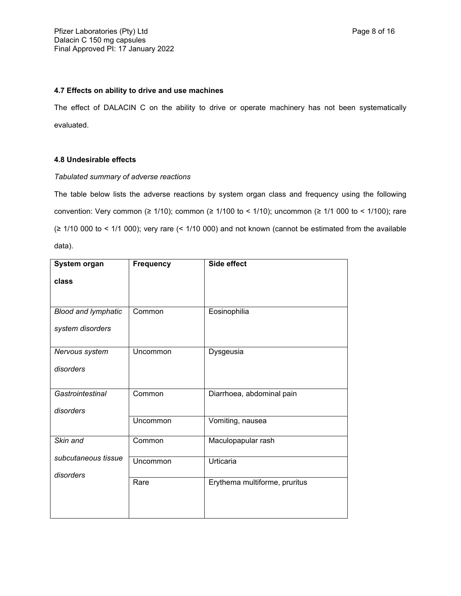## **4.7 Effects on ability to drive and use machines**

The effect of DALACIN C on the ability to drive or operate machinery has not been systematically evaluated.

# **4.8 Undesirable effects**

# *Tabulated summary of adverse reactions*

The table below lists the adverse reactions by system organ class and frequency using the following convention: Very common (≥ 1/10); common (≥ 1/100 to < 1/10); uncommon (≥ 1/1 000 to < 1/100); rare (≥ 1/10 000 to < 1/1 000); very rare (< 1/10 000) and not known (cannot be estimated from the available data).

| <b>Frequency</b> | Side effect                   |
|------------------|-------------------------------|
|                  |                               |
|                  |                               |
| Common           | Eosinophilia                  |
|                  |                               |
|                  |                               |
| Uncommon         | Dysgeusia                     |
|                  |                               |
|                  |                               |
| Common           | Diarrhoea, abdominal pain     |
|                  |                               |
| Uncommon         | Vomiting, nausea              |
| Common           | Maculopapular rash            |
|                  |                               |
|                  | Urticaria                     |
| Rare             | Erythema multiforme, pruritus |
|                  |                               |
|                  |                               |
|                  | Uncommon                      |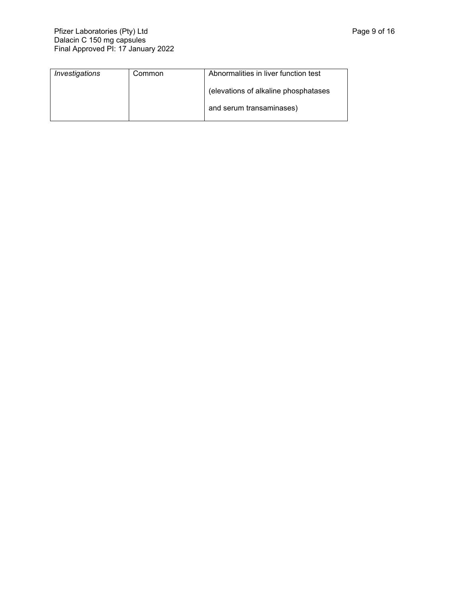| Investigations | Common | Abnormalities in liver function test |
|----------------|--------|--------------------------------------|
|                |        | (elevations of alkaline phosphatases |
|                |        | and serum transaminases)             |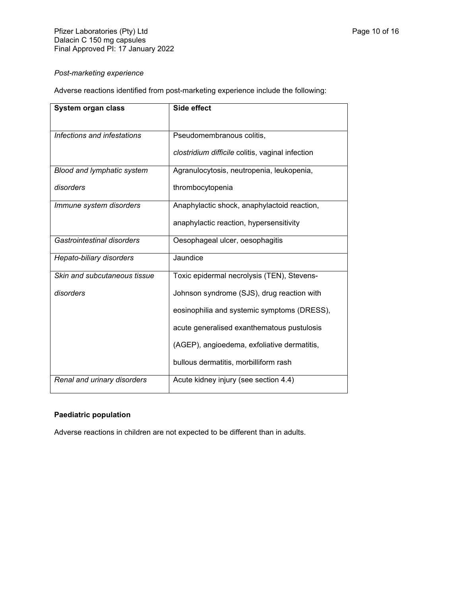# *Post-marketing experience*

Adverse reactions identified from post-marketing experience include the following:

| System organ class           | Side effect                                      |
|------------------------------|--------------------------------------------------|
| Infections and infestations  | Pseudomembranous colitis,                        |
|                              | clostridium difficile colitis, vaginal infection |
| Blood and lymphatic system   | Agranulocytosis, neutropenia, leukopenia,        |
| disorders                    | thrombocytopenia                                 |
| Immune system disorders      | Anaphylactic shock, anaphylactoid reaction,      |
|                              | anaphylactic reaction, hypersensitivity          |
| Gastrointestinal disorders   | Oesophageal ulcer, oesophagitis                  |
| Hepato-biliary disorders     | Jaundice                                         |
| Skin and subcutaneous tissue | Toxic epidermal necrolysis (TEN), Stevens-       |
| disorders                    | Johnson syndrome (SJS), drug reaction with       |
|                              | eosinophilia and systemic symptoms (DRESS),      |
|                              | acute generalised exanthematous pustulosis       |
|                              | (AGEP), angioedema, exfoliative dermatitis,      |
|                              | bullous dermatitis, morbilliform rash            |
| Renal and urinary disorders  | Acute kidney injury (see section 4.4)            |

# **Paediatric population**

Adverse reactions in children are not expected to be different than in adults.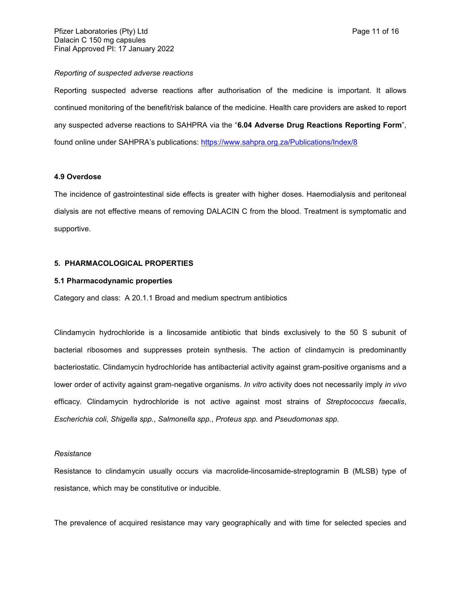#### *Reporting of suspected adverse reactions*

Reporting suspected adverse reactions after authorisation of the medicine is important. It allows continued monitoring of the benefit/risk balance of the medicine. Health care providers are asked to report any suspected adverse reactions to SAHPRA via the "**6.04 Adverse Drug Reactions Reporting Form**", found online under SAHPRA's publications: <https://www.sahpra.org.za/Publications/Index/8>

#### **4.9 Overdose**

The incidence of gastrointestinal side effects is greater with higher doses. Haemodialysis and peritoneal dialysis are not effective means of removing DALACIN C from the blood. Treatment is symptomatic and supportive.

### **5. PHARMACOLOGICAL PROPERTIES**

#### **5.1 Pharmacodynamic properties**

Category and class: A 20.1.1 Broad and medium spectrum antibiotics

Clindamycin hydrochloride is a lincosamide antibiotic that binds exclusively to the 50 S subunit of bacterial ribosomes and suppresses protein synthesis. The action of clindamycin is predominantly bacteriostatic. Clindamycin hydrochloride has antibacterial activity against gram-positive organisms and a lower order of activity against gram-negative organisms. *In vitro* activity does not necessarily imply *in vivo* efficacy. Clindamycin hydrochloride is not active against most strains of *Streptococcus faecalis*, *Escherichia coli*, *Shigella spp.*, *Salmonella spp.*, *Proteus spp.* and *Pseudomonas spp.*

#### *Resistance*

Resistance to clindamycin usually occurs via macrolide-lincosamide-streptogramin B (MLSB) type of resistance, which may be constitutive or inducible.

The prevalence of acquired resistance may vary geographically and with time for selected species and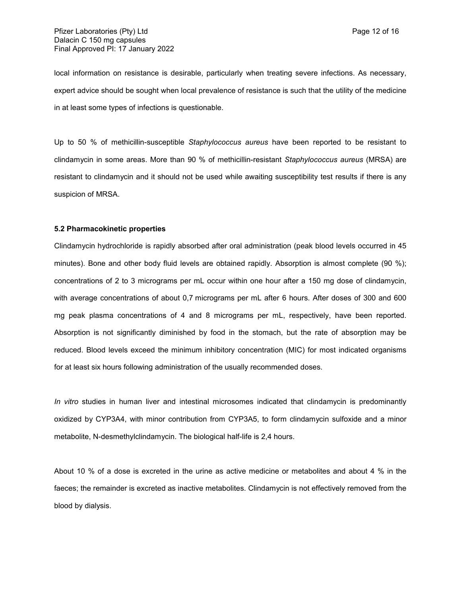local information on resistance is desirable, particularly when treating severe infections. As necessary, expert advice should be sought when local prevalence of resistance is such that the utility of the medicine in at least some types of infections is questionable.

Up to 50 % of methicillin-susceptible *Staphylococcus aureus* have been reported to be resistant to clindamycin in some areas. More than 90 % of methicillin-resistant *Staphylococcus aureus* (MRSA) are resistant to clindamycin and it should not be used while awaiting susceptibility test results if there is any suspicion of MRSA.

#### **5.2 Pharmacokinetic properties**

Clindamycin hydrochloride is rapidly absorbed after oral administration (peak blood levels occurred in 45 minutes). Bone and other body fluid levels are obtained rapidly. Absorption is almost complete (90 %); concentrations of 2 to 3 micrograms per mL occur within one hour after a 150 mg dose of clindamycin, with average concentrations of about 0,7 micrograms per mL after 6 hours. After doses of 300 and 600 mg peak plasma concentrations of 4 and 8 micrograms per mL, respectively, have been reported. Absorption is not significantly diminished by food in the stomach, but the rate of absorption may be reduced. Blood levels exceed the minimum inhibitory concentration (MIC) for most indicated organisms for at least six hours following administration of the usually recommended doses.

*In vitro* studies in human liver and intestinal microsomes indicated that clindamycin is predominantly oxidized by CYP3A4, with minor contribution from CYP3A5, to form clindamycin sulfoxide and a minor metabolite, N-desmethylclindamycin. The biological half-life is 2,4 hours.

About 10 % of a dose is excreted in the urine as active medicine or metabolites and about 4 % in the faeces; the remainder is excreted as inactive metabolites. Clindamycin is not effectively removed from the blood by dialysis.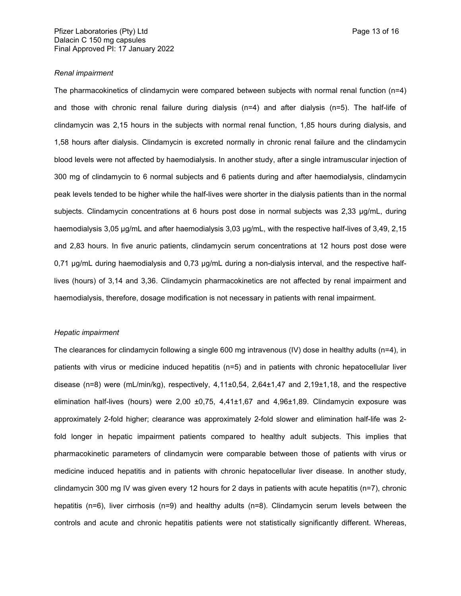#### *Renal impairment*

The pharmacokinetics of clindamycin were compared between subjects with normal renal function (n=4) and those with chronic renal failure during dialysis (n=4) and after dialysis (n=5). The half-life of clindamycin was 2,15 hours in the subjects with normal renal function, 1,85 hours during dialysis, and 1,58 hours after dialysis. Clindamycin is excreted normally in chronic renal failure and the clindamycin blood levels were not affected by haemodialysis. In another study, after a single intramuscular injection of 300 mg of clindamycin to 6 normal subjects and 6 patients during and after haemodialysis, clindamycin peak levels tended to be higher while the half-lives were shorter in the dialysis patients than in the normal subjects. Clindamycin concentrations at 6 hours post dose in normal subjects was 2,33 μg/mL, during haemodialysis 3,05 μg/mL and after haemodialysis 3,03 μg/mL, with the respective half-lives of 3,49, 2,15 and 2,83 hours. In five anuric patients, clindamycin serum concentrations at 12 hours post dose were 0,71 μg/mL during haemodialysis and 0,73 μg/mL during a non-dialysis interval, and the respective halflives (hours) of 3,14 and 3,36. Clindamycin pharmacokinetics are not affected by renal impairment and haemodialysis, therefore, dosage modification is not necessary in patients with renal impairment.

#### *Hepatic impairment*

The clearances for clindamycin following a single 600 mg intravenous (IV) dose in healthy adults (n=4), in patients with virus or medicine induced hepatitis (n=5) and in patients with chronic hepatocellular liver disease (n=8) were (mL/min/kg), respectively, 4,11±0,54, 2,64±1,47 and 2,19±1,18, and the respective elimination half-lives (hours) were 2,00 ±0,75, 4,41±1,67 and 4,96±1,89. Clindamycin exposure was approximately 2-fold higher; clearance was approximately 2-fold slower and elimination half-life was 2 fold longer in hepatic impairment patients compared to healthy adult subjects. This implies that pharmacokinetic parameters of clindamycin were comparable between those of patients with virus or medicine induced hepatitis and in patients with chronic hepatocellular liver disease. In another study, clindamycin 300 mg IV was given every 12 hours for 2 days in patients with acute hepatitis (n=7), chronic hepatitis (n=6), liver cirrhosis (n=9) and healthy adults (n=8). Clindamycin serum levels between the controls and acute and chronic hepatitis patients were not statistically significantly different. Whereas,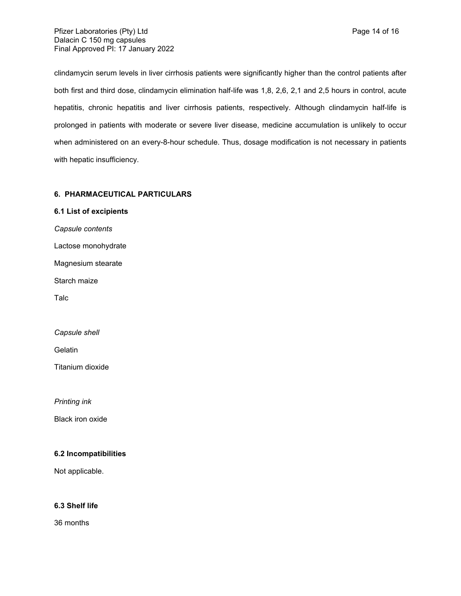Pfizer Laboratories (Pty) Ltd **Page 14 of 16** Page 14 of 16 Dalacin C 150 mg capsules Final Approved PI: 17 January 2022

clindamycin serum levels in liver cirrhosis patients were significantly higher than the control patients after both first and third dose, clindamycin elimination half-life was 1,8, 2,6, 2,1 and 2,5 hours in control, acute hepatitis, chronic hepatitis and liver cirrhosis patients, respectively. Although clindamycin half-life is prolonged in patients with moderate or severe liver disease, medicine accumulation is unlikely to occur when administered on an every-8-hour schedule. Thus, dosage modification is not necessary in patients with hepatic insufficiency.

# **6. PHARMACEUTICAL PARTICULARS**

**6.1 List of excipients** *Capsule contents* Lactose monohydrate Magnesium stearate Starch maize Talc *Capsule shell*

**Gelatin** 

Titanium dioxide

*Printing ink*

Black iron oxide

### **6.2 Incompatibilities**

Not applicable.

# **6.3 Shelf life**

36 months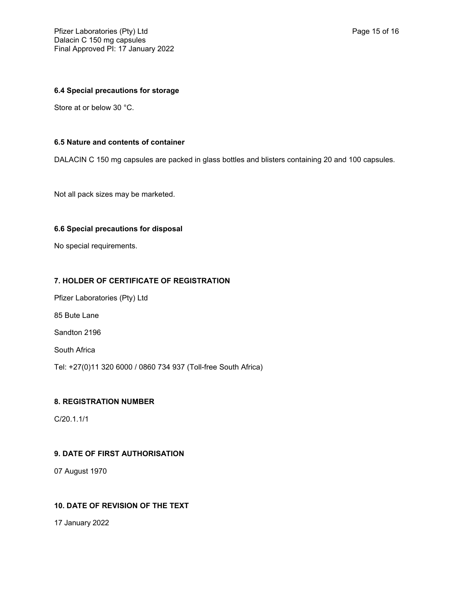# **6.4 Special precautions for storage**

Store at or below 30 °C.

# **6.5 Nature and contents of container**

DALACIN C 150 mg capsules are packed in glass bottles and blisters containing 20 and 100 capsules.

Not all pack sizes may be marketed.

### **6.6 Special precautions for disposal**

No special requirements.

### **7. HOLDER OF CERTIFICATE OF REGISTRATION**

Pfizer Laboratories (Pty) Ltd 85 Bute Lane

Sandton 2196

South Africa

Tel: +27(0)11 320 6000 / 0860 734 937 (Toll-free South Africa)

# **8. REGISTRATION NUMBER**

C/20.1.1/1

## **9. DATE OF FIRST AUTHORISATION**

07 August 1970

# **10. DATE OF REVISION OF THE TEXT**

17 January 2022